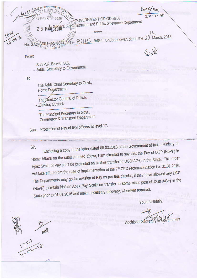GOVERNMENT OF ODISHA **Anaral Admittistration and Public Grievance Department** 

\*\*\*\*\*\*

From:

No. GAD-SEE

2 3 MAR

Shri P.K. Biswal, IAS, Addl. Secretary to Government.

T<sub>0</sub>

The Addl. Chief Secretary to Govt., Home Department.

The Director General of Police, Odisha, Cuttack

The Principal Secretary to Govt., Commerce & Transport Department.

Protection of Pay of IPS officers at level-17. Sub:

Sir.

Enclosing a copy of the letter dated 08.03.2018 of the Government of India, Ministry of Home Affairs on the subject noted above, I am directed to say that the Pay of DGP (HoPF) in Apex Scale of Pay shall be protected on his/her transfer to DG(HAG+) in the State. This order will take effect from the date of implementation of the 7<sup>th</sup> CPC recommendation i.e. 01.01.2016. The Departments may go for revision of Pay as per this circular, if they have allowed any DGP (HoPF) to retain his/her Apex Pay Scale on transfer to some other post of DG(HAG+) in the State prior to 01.01.2016 and make necessary recovery, wherever required.

Yours faithfully,

th

5 /AIS.I., Bhubaneswar, dated the 20 March, 2018

overnment Additional Secretary

AVA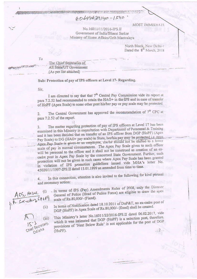60694639140-1540

MOST IMMEDIATE

No.16011/11/2016-IPS.II Government of India/Bharat Sarkar Ministry of Home Affairs/Grih Mantralava

North Block, New Delhi-1<br>Dated the 8<sup>th</sup> March, 2018

To

**STORY AND THE COLUMN** 

The Chief Secretaries of All State/UT Government (As per list attached)

■ 日本語の社会の名和の方法の形象はな

Sub: Protection of pay of IPS officers at Level 17- Regarding.

Sir.

I am directed to say that that 7<sup>th</sup> Central Pay Commission vide its report at para 7.2.52 had recommended to retain the HAG+ in the IPS and in case of transfer of HoPF (Apex Scale) to some other post his/her pay or pay scale may be protected.

The Central Government has approved the recommendation of  $7<sup>th</sup>$  CPC at  $2.$ para 7.2.52 of the report.

The matter regarding protection of pay of IPS officers at Level 17 has been 3. examined in this Ministry in consultation with Department of Personnel & Training and it has been decided that on transfer of an IPS officer from DGP (HoPF) (Apex Pay Scale) to DG (HAG+ pay scale) in State, her/his pay may be protected i.e. once Apex Pay Scale is given to an employee, she/he should not be shifted to a lower scale of pay in normal circumstances. The Apex Pay Scale given to such officer will be personal to the officer and it shall not be construed as creation of an excadre post in Apex Pay Scale by the concerned State Government. Further, such protection will not be given in such cases where Apex Pay Scale has been granted in violation of IPS promotion guidelines issued vide MHA's letter No. 45020/11/1997-IPS.II dated 15.01.1999 as amended from time to time.

In this connection, attention is also invited to the following for kind perusal and necessary action:

ACS, Holme (i)

 $(iii)$ 

Chief Secretary, Odisha

. In terms of IPS (Pay) Amendments Rules of 2008, only the Director General of Police (Head of Police Force) are eligible to draw the apex scale of Rs.80,000/- (Fixed).

In terms of Notification dated 18.10.2011 of DoP&T, no ex-cadre post of DGP (HoPF) in Apex Scale of Rs.80,000/- (fixed) shall be created.

This Ministry's letter No.16011/22/2016-IPS.II dated 06.02.2017, vide which it was intimated that DGP (HoPF) is a selection post, therefore. provisions of 'Next Below Rule' is not applicable for the post of DGP (HoPF).